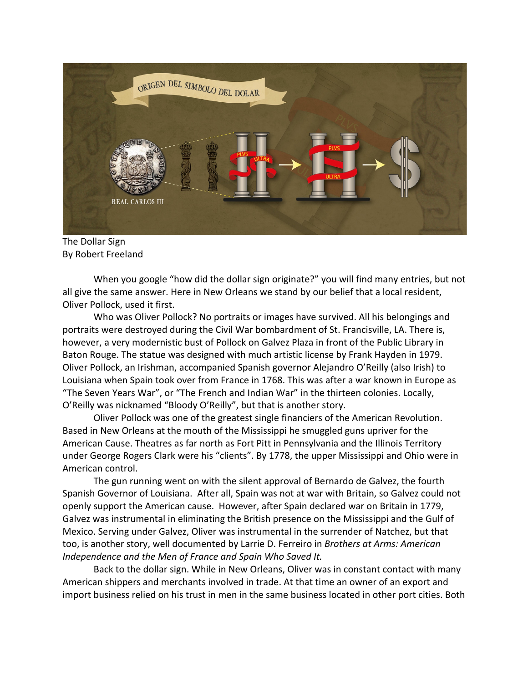

The Dollar Sign By Robert Freeland

When you google "how did the dollar sign originate?" you will find many entries, but not all give the same answer. Here in New Orleans we stand by our belief that a local resident, Oliver Pollock, used it first.

Who was Oliver Pollock? No portraits or images have survived. All his belongings and portraits were destroyed during the Civil War bombardment of St. Francisville, LA. There is, however, a very modernistic bust of Pollock on Galvez Plaza in front of the Public Library in Baton Rouge. The statue was designed with much artistic license by Frank Hayden in 1979. Oliver Pollock, an Irishman, accompanied Spanish governor Alejandro O'Reilly (also Irish) to Louisiana when Spain took over from France in 1768. This was after a war known in Europe as "The Seven Years War", or "The French and Indian War" in the thirteen colonies. Locally, O'Reilly was nicknamed "Bloody O'Reilly", but that is another story.

Oliver Pollock was one of the greatest single financiers of the American Revolution. Based in New Orleans at the mouth of the Mississippi he smuggled guns upriver for the American Cause. Theatres as far north as Fort Pitt in Pennsylvania and the Illinois Territory under George Rogers Clark were his "clients". By 1778, the upper Mississippi and Ohio were in American control.

The gun running went on with the silent approval of Bernardo de Galvez, the fourth Spanish Governor of Louisiana. After all, Spain was not at war with Britain, so Galvez could not openly support the American cause. However, after Spain declared war on Britain in 1779, Galvez was instrumental in eliminating the British presence on the Mississippi and the Gulf of Mexico. Serving under Galvez, Oliver was instrumental in the surrender of Natchez, but that too, is another story, well documented by Larrie D. Ferreiro in *Brothers at Arms: American Independence and the Men of France and Spain Who Saved It.*

Back to the dollar sign. While in New Orleans, Oliver was in constant contact with many American shippers and merchants involved in trade. At that time an owner of an export and import business relied on his trust in men in the same business located in other port cities. Both